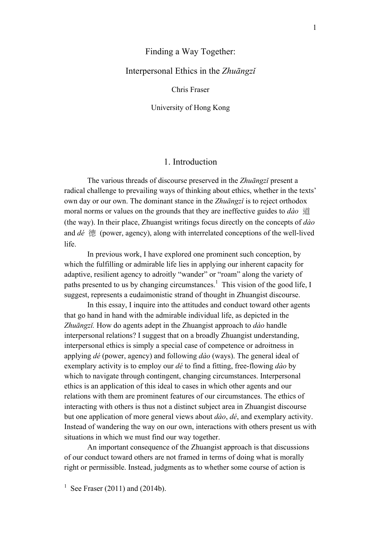## Finding a Way Together:

## Interpersonal Ethics in the *Zhuāngzǐ*

#### Chris Fraser

University of Hong Kong

# 1. Introduction

The various threads of discourse preserved in the *Zhuāngzǐ* present a radical challenge to prevailing ways of thinking about ethics, whether in the texts' own day or our own. The dominant stance in the *Zhuāngzǐ* is to reject orthodox moral norms or values on the grounds that they are ineffective guides to *dào* 道 (the way). In their place, Zhuangist writings focus directly on the concepts of *dào*  and *dé* 德 (power, agency), along with interrelated conceptions of the well-lived life.

In previous work, I have explored one prominent such conception, by which the fulfilling or admirable life lies in applying our inherent capacity for adaptive, resilient agency to adroitly "wander" or "roam" along the variety of paths presented to us by changing circumstances.<sup>1</sup> This vision of the good life, I suggest, represents a eudaimonistic strand of thought in Zhuangist discourse.

In this essay, I inquire into the attitudes and conduct toward other agents that go hand in hand with the admirable individual life, as depicted in the *Zhuāngzǐ.* How do agents adept in the Zhuangist approach to *dào* handle interpersonal relations? I suggest that on a broadly Zhuangist understanding, interpersonal ethics is simply a special case of competence or adroitness in applying *dé* (power, agency) and following *dào* (ways). The general ideal of exemplary activity is to employ our *dé* to find a fitting, free-flowing *dào* by which to navigate through contingent, changing circumstances. Interpersonal ethics is an application of this ideal to cases in which other agents and our relations with them are prominent features of our circumstances. The ethics of interacting with others is thus not a distinct subject area in Zhuangist discourse but one application of more general views about *dào*, *dé*, and exemplary activity. Instead of wandering the way on our own, interactions with others present us with situations in which we must find our way together.

An important consequence of the Zhuangist approach is that discussions of our conduct toward others are not framed in terms of doing what is morally right or permissible. Instead, judgments as to whether some course of action is

<sup>&</sup>lt;sup>1</sup> See Fraser (2011) and (2014b).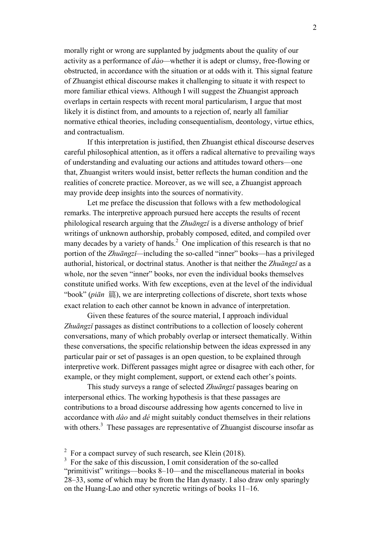morally right or wrong are supplanted by judgments about the quality of our activity as a performance of *dào—*whether it is adept or clumsy, free-flowing or obstructed, in accordance with the situation or at odds with it*.* This signal feature of Zhuangist ethical discourse makes it challenging to situate it with respect to more familiar ethical views. Although I will suggest the Zhuangist approach overlaps in certain respects with recent moral particularism, I argue that most likely it is distinct from, and amounts to a rejection of, nearly all familiar normative ethical theories, including consequentialism, deontology, virtue ethics, and contractualism.

If this interpretation is justified, then Zhuangist ethical discourse deserves careful philosophical attention, as it offers a radical alternative to prevailing ways of understanding and evaluating our actions and attitudes toward others—one that, Zhuangist writers would insist, better reflects the human condition and the realities of concrete practice. Moreover, as we will see, a Zhuangist approach may provide deep insights into the sources of normativity.

Let me preface the discussion that follows with a few methodological remarks. The interpretive approach pursued here accepts the results of recent philological research arguing that the *Zhuāngzǐ* is a diverse anthology of brief writings of unknown authorship, probably composed, edited, and compiled over many decades by a variety of hands.<sup>2</sup> One implication of this research is that no portion of the *Zhuāngzǐ—*including the so-called "inner" books—has a privileged authorial, historical, or doctrinal status. Another is that neither the *Zhuāngzǐ* as a whole, nor the seven "inner" books, nor even the individual books themselves constitute unified works. With few exceptions, even at the level of the individual "book" (*piān* 篇), we are interpreting collections of discrete, short texts whose exact relation to each other cannot be known in advance of interpretation.

Given these features of the source material, I approach individual *Zhuāngzǐ* passages as distinct contributions to a collection of loosely coherent conversations, many of which probably overlap or intersect thematically. Within these conversations, the specific relationship between the ideas expressed in any particular pair or set of passages is an open question, to be explained through interpretive work. Different passages might agree or disagree with each other, for example, or they might complement, support, or extend each other's points.

This study surveys a range of selected *Zhuāngzǐ* passages bearing on interpersonal ethics. The working hypothesis is that these passages are contributions to a broad discourse addressing how agents concerned to live in accordance with *dào* and *dé* might suitably conduct themselves in their relations with others.<sup>3</sup> These passages are representative of Zhuangist discourse insofar as

<sup>2</sup> For a compact survey of such research, see Klein (2018).

<sup>&</sup>lt;sup>3</sup> For the sake of this discussion, I omit consideration of the so-called "primitivist" writings—books 8–10—and the miscellaneous material in books 28–33, some of which may be from the Han dynasty. I also draw only sparingly on the Huang-Lao and other syncretic writings of books 11–16.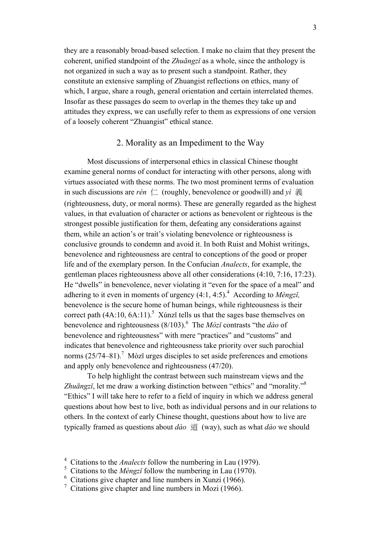they are a reasonably broad-based selection. I make no claim that they present the coherent, unified standpoint of the *Zhuāngzǐ* as a whole, since the anthology is not organized in such a way as to present such a standpoint. Rather, they constitute an extensive sampling of Zhuangist reflections on ethics, many of which, I argue, share a rough, general orientation and certain interrelated themes. Insofar as these passages do seem to overlap in the themes they take up and attitudes they express, we can usefully refer to them as expressions of one version of a loosely coherent "Zhuangist" ethical stance.

## 2. Morality as an Impediment to the Way

Most discussions of interpersonal ethics in classical Chinese thought examine general norms of conduct for interacting with other persons, along with virtues associated with these norms. The two most prominent terms of evaluation in such discussions are *rén*  $\left\lfloor \frac{1}{1} \right\rfloor$  (roughly, benevolence or goodwill) and *yi*  $\frac{2}{56}$ (righteousness, duty, or moral norms). These are generally regarded as the highest values, in that evaluation of character or actions as benevolent or righteous is the strongest possible justification for them, defeating any considerations against them, while an action's or trait's violating benevolence or righteousness is conclusive grounds to condemn and avoid it. In both Ruist and Mohist writings, benevolence and righteousness are central to conceptions of the good or proper life and of the exemplary person. In the Confucian *Analects*, for example, the gentleman places righteousness above all other considerations (4:10, 7:16, 17:23). He "dwells" in benevolence, never violating it "even for the space of a meal" and adhering to it even in moments of urgency  $(4:1, 4:5)$ .<sup>4</sup> According to *Mèngzi*, benevolence is the secure home of human beings, while righteousness is their correct path  $(4A:10, 6A:11)^5$ . Xúnzi tells us that the sages base themselves on benevolence and righteousness (8/103).<sup>6</sup> The *Mòzǐ* contrasts "the *dào* of benevolence and righteousness" with mere "practices" and "customs" and indicates that benevolence and righteousness take priority over such parochial norms  $(25/74-81)$ .<sup>7</sup> Mòzi urges disciples to set aside preferences and emotions and apply only benevolence and righteousness (47/20).

To help highlight the contrast between such mainstream views and the *Zhuāngzǐ*, let me draw a working distinction between "ethics" and "morality."8 "Ethics" I will take here to refer to a field of inquiry in which we address general questions about how best to live, both as individual persons and in our relations to others. In the context of early Chinese thought, questions about how to live are typically framed as questions about *dào* 道 (way), such as what *dào* we should

<sup>4</sup> Citations to the *Analects* follow the numbering in Lau (1979).

<sup>5</sup> Citations to the *Mèngzǐ* follow the numbering in Lau (1970).

 $6$  Citations give chapter and line numbers in Xunzi (1966).

 $\frac{7}{1}$  Citations give chapter and line numbers in Mozi (1966).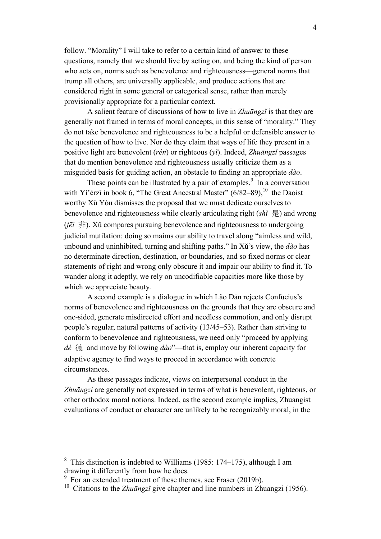follow. "Morality" I will take to refer to a certain kind of answer to these questions, namely that we should live by acting on, and being the kind of person who acts on, norms such as benevolence and righteousness—general norms that trump all others, are universally applicable, and produce actions that are considered right in some general or categorical sense, rather than merely provisionally appropriate for a particular context.

A salient feature of discussions of how to live in *Zhuāngzǐ* is that they are generally not framed in terms of moral concepts, in this sense of "morality." They do not take benevolence and righteousness to be a helpful or defensible answer to the question of how to live. Nor do they claim that ways of life they present in a positive light are benevolent (*rén*) or righteous (*yì*). Indeed, *Zhuāngzǐ* passages that do mention benevolence and righteousness usually criticize them as a misguided basis for guiding action, an obstacle to finding an appropriate *dào*.

These points can be illustrated by a pair of examples.<sup>9</sup> In a conversation with Yì'érzǐ in book 6, "The Great Ancestral Master"  $(6/82-89)$ ,  $^{10}$  the Daoist worthy Xǔ Yóu dismisses the proposal that we must dedicate ourselves to benevolence and righteousness while clearly articulating right (*shì* 是) and wrong (*f* $\vec{e}$ *i*  $\neq$   $\parallel$ ). X $\check{u}$  compares pursuing benevolence and righteousness to undergoing judicial mutilation: doing so maims our ability to travel along "aimless and wild, unbound and uninhibited, turning and shifting paths." In Xǔ's view, the *dào* has no determinate direction, destination, or boundaries, and so fixed norms or clear statements of right and wrong only obscure it and impair our ability to find it. To wander along it adeptly, we rely on uncodifiable capacities more like those by which we appreciate beauty.

A second example is a dialogue in which Lǎo Dān rejects Confucius's norms of benevolence and righteousness on the grounds that they are obscure and one-sided, generate misdirected effort and needless commotion, and only disrupt people's regular, natural patterns of activity (13/45–53). Rather than striving to conform to benevolence and righteousness, we need only "proceed by applying *dé* 德 and move by following *dào*"—that is, employ our inherent capacity for adaptive agency to find ways to proceed in accordance with concrete circumstances.

As these passages indicate, views on interpersonal conduct in the *Zhuāngzǐ* are generally not expressed in terms of what is benevolent, righteous, or other orthodox moral notions. Indeed, as the second example implies, Zhuangist evaluations of conduct or character are unlikely to be recognizably moral, in the

<sup>&</sup>lt;sup>8</sup> This distinction is indebted to Williams (1985: 174–175), although I am drawing it differently from how he does.

<sup>9</sup> For an extended treatment of these themes, see Fraser (2019b).

<sup>&</sup>lt;sup>10</sup> Citations to the *Zhuāngzi* give chapter and line numbers in Zhuangzi (1956).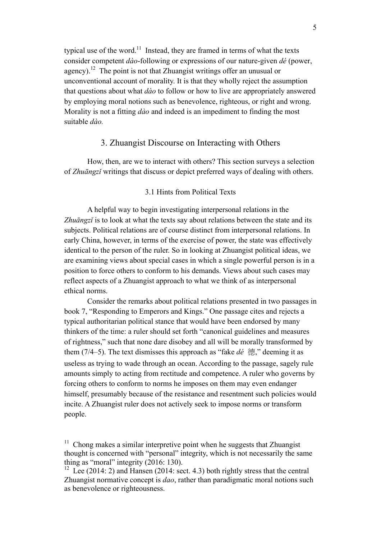typical use of the word.<sup>11</sup> Instead, they are framed in terms of what the texts consider competent *dào*-following or expressions of our nature-given *dé* (power, agency).<sup>12</sup> The point is not that Zhuangist writings offer an unusual or unconventional account of morality. It is that they wholly reject the assumption that questions about what *dào* to follow or how to live are appropriately answered by employing moral notions such as benevolence, righteous, or right and wrong. Morality is not a fitting *dào* and indeed is an impediment to finding the most suitable *dào.*

## 3. Zhuangist Discourse on Interacting with Others

How, then, are we to interact with others? This section surveys a selection of *Zhuāngzǐ* writings that discuss or depict preferred ways of dealing with others.

#### 3.1 Hints from Political Texts

A helpful way to begin investigating interpersonal relations in the *Zhuāngzǐ* is to look at what the texts say about relations between the state and its subjects. Political relations are of course distinct from interpersonal relations. In early China, however, in terms of the exercise of power, the state was effectively identical to the person of the ruler. So in looking at Zhuangist political ideas, we are examining views about special cases in which a single powerful person is in a position to force others to conform to his demands. Views about such cases may reflect aspects of a Zhuangist approach to what we think of as interpersonal ethical norms.

Consider the remarks about political relations presented in two passages in book 7, "Responding to Emperors and Kings." One passage cites and rejects a typical authoritarian political stance that would have been endorsed by many thinkers of the time: a ruler should set forth "canonical guidelines and measures of rightness," such that none dare disobey and all will be morally transformed by them (7/4–5). The text dismisses this approach as "fake *dé* 德," deeming it as useless as trying to wade through an ocean. According to the passage, sagely rule amounts simply to acting from rectitude and competence. A ruler who governs by forcing others to conform to norms he imposes on them may even endanger himself, presumably because of the resistance and resentment such policies would incite. A Zhuangist ruler does not actively seek to impose norms or transform people.

 $11$  Chong makes a similar interpretive point when he suggests that Zhuangist thought is concerned with "personal" integrity, which is not necessarily the same thing as "moral" integrity (2016: 130).

<sup>&</sup>lt;sup>12</sup> Lee (2014: 2) and Hansen (2014: sect. 4.3) both rightly stress that the central Zhuangist normative concept is *dao*, rather than paradigmatic moral notions such as benevolence or righteousness.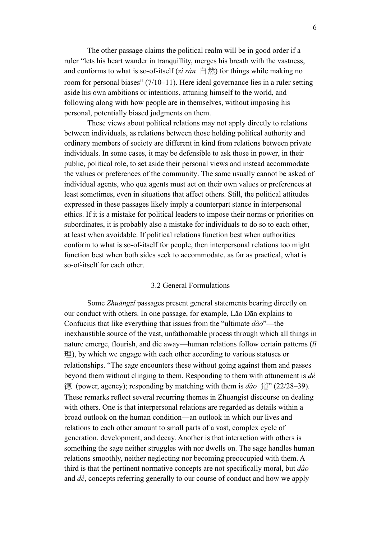The other passage claims the political realm will be in good order if a ruler "lets his heart wander in tranquillity, merges his breath with the vastness, and conforms to what is so-of-itself (*zì rán*  $\oplus$  *ffs*) for things while making no room for personal biases" (7/10–11). Here ideal governance lies in a ruler setting aside his own ambitions or intentions, attuning himself to the world, and following along with how people are in themselves, without imposing his personal, potentially biased judgments on them.

These views about political relations may not apply directly to relations between individuals, as relations between those holding political authority and ordinary members of society are different in kind from relations between private individuals. In some cases, it may be defensible to ask those in power, in their public, political role, to set aside their personal views and instead accommodate the values or preferences of the community. The same usually cannot be asked of individual agents, who qua agents must act on their own values or preferences at least sometimes, even in situations that affect others. Still, the political attitudes expressed in these passages likely imply a counterpart stance in interpersonal ethics. If it is a mistake for political leaders to impose their norms or priorities on subordinates, it is probably also a mistake for individuals to do so to each other, at least when avoidable. If political relations function best when authorities conform to what is so-of-itself for people, then interpersonal relations too might function best when both sides seek to accommodate, as far as practical, what is so-of-itself for each other.

## 3.2 General Formulations

Some *Zhuāngzǐ* passages present general statements bearing directly on our conduct with others. In one passage, for example, Lǎo Dān explains to Confucius that like everything that issues from the "ultimate *dào*"—the inexhaustible source of the vast, unfathomable process through which all things in nature emerge, flourish, and die away—human relations follow certain patterns (*lǐ* 理), by which we engage with each other according to various statuses or relationships. "The sage encounters these without going against them and passes beyond them without clinging to them. Responding to them with attunement is *dé* 德 (power, agency); responding by matching with them is *dào* 道" (22/28–39). These remarks reflect several recurring themes in Zhuangist discourse on dealing with others. One is that interpersonal relations are regarded as details within a broad outlook on the human condition—an outlook in which our lives and relations to each other amount to small parts of a vast, complex cycle of generation, development, and decay. Another is that interaction with others is something the sage neither struggles with nor dwells on. The sage handles human relations smoothly, neither neglecting nor becoming preoccupied with them. A third is that the pertinent normative concepts are not specifically moral, but *dào*  and *dé*, concepts referring generally to our course of conduct and how we apply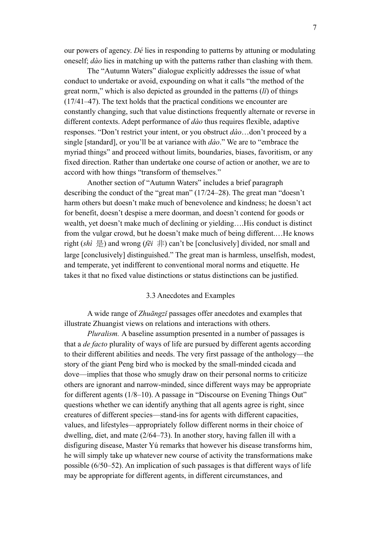our powers of agency. *Dé* lies in responding to patterns by attuning or modulating oneself; *dào* lies in matching up with the patterns rather than clashing with them.

The "Autumn Waters" dialogue explicitly addresses the issue of what conduct to undertake or avoid, expounding on what it calls "the method of the great norm," which is also depicted as grounded in the patterns (*lǐ*) of things (17/41–47). The text holds that the practical conditions we encounter are constantly changing, such that value distinctions frequently alternate or reverse in different contexts. Adept performance of *dào* thus requires flexible, adaptive responses. "Don't restrict your intent, or you obstruct *dào*…don't proceed by a single [standard], or you'll be at variance with *dào*." We are to "embrace the myriad things" and proceed without limits, boundaries, biases, favoritism, or any fixed direction. Rather than undertake one course of action or another, we are to accord with how things "transform of themselves."

Another section of "Autumn Waters" includes a brief paragraph describing the conduct of the "great man" (17/24–28). The great man "doesn't harm others but doesn't make much of benevolence and kindness; he doesn't act for benefit, doesn't despise a mere doorman, and doesn't contend for goods or wealth, yet doesn't make much of declining or yielding….His conduct is distinct from the vulgar crowd, but he doesn't make much of being different.…He knows right  $(shi \not\equiv)$  and wrong ( $f\bar{e}i \not\equiv)$ ) can't be [conclusively] divided, nor small and large [conclusively] distinguished." The great man is harmless, unselfish, modest, and temperate, yet indifferent to conventional moral norms and etiquette. He takes it that no fixed value distinctions or status distinctions can be justified.

#### 3.3 Anecdotes and Examples

A wide range of *Zhuāngzǐ* passages offer anecdotes and examples that illustrate Zhuangist views on relations and interactions with others.

*Pluralism.* A baseline assumption presented in a number of passages is that a *de facto* plurality of ways of life are pursued by different agents according to their different abilities and needs. The very first passage of the anthology—the story of the giant Peng bird who is mocked by the small-minded cicada and dove—implies that those who smugly draw on their personal norms to criticize others are ignorant and narrow-minded, since different ways may be appropriate for different agents (1/8–10). A passage in "Discourse on Evening Things Out" questions whether we can identify anything that all agents agree is right, since creatures of different species—stand-ins for agents with different capacities, values, and lifestyles—appropriately follow different norms in their choice of dwelling, diet, and mate (2/64–73). In another story, having fallen ill with a disfiguring disease, Master Yú remarks that however his disease transforms him, he will simply take up whatever new course of activity the transformations make possible (6/50–52). An implication of such passages is that different ways of life may be appropriate for different agents, in different circumstances, and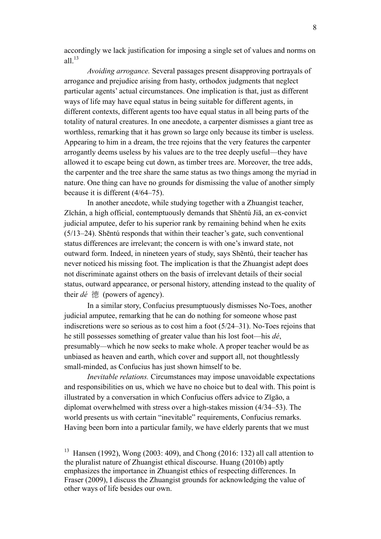accordingly we lack justification for imposing a single set of values and norms on all  $^{13}$ 

*Avoiding arrogance.* Several passages present disapproving portrayals of arrogance and prejudice arising from hasty, orthodox judgments that neglect particular agents' actual circumstances. One implication is that, just as different ways of life may have equal status in being suitable for different agents, in different contexts, different agents too have equal status in all being parts of the totality of natural creatures. In one anecdote, a carpenter dismisses a giant tree as worthless, remarking that it has grown so large only because its timber is useless. Appearing to him in a dream, the tree rejoins that the very features the carpenter arrogantly deems useless by his values are to the tree deeply useful—they have allowed it to escape being cut down, as timber trees are. Moreover, the tree adds, the carpenter and the tree share the same status as two things among the myriad in nature. One thing can have no grounds for dismissing the value of another simply because it is different (4/64–75).

In another anecdote, while studying together with a Zhuangist teacher, Zǐchán, a high official, contemptuously demands that Shēntú Jiā, an ex-convict judicial amputee, defer to his superior rank by remaining behind when he exits (5/13–24). Shēntú responds that within their teacher's gate, such conventional status differences are irrelevant; the concern is with one's inward state, not outward form. Indeed, in nineteen years of study, says Shēntú, their teacher has never noticed his missing foot. The implication is that the Zhuangist adept does not discriminate against others on the basis of irrelevant details of their social status, outward appearance, or personal history, attending instead to the quality of their *dé* 德 (powers of agency).

In a similar story, Confucius presumptuously dismisses No-Toes, another judicial amputee, remarking that he can do nothing for someone whose past indiscretions were so serious as to cost him a foot (5/24–31). No-Toes rejoins that he still possesses something of greater value than his lost foot—his *dé*, presumably*—*which he now seeks to make whole. A proper teacher would be as unbiased as heaven and earth, which cover and support all, not thoughtlessly small-minded, as Confucius has just shown himself to be.

*Inevitable relations.* Circumstances may impose unavoidable expectations and responsibilities on us, which we have no choice but to deal with. This point is illustrated by a conversation in which Confucius offers advice to Zǐgāo, a diplomat overwhelmed with stress over a high-stakes mission (4/34–53). The world presents us with certain "inevitable" requirements, Confucius remarks. Having been born into a particular family, we have elderly parents that we must

<sup>&</sup>lt;sup>13</sup> Hansen (1992), Wong (2003: 409), and Chong (2016: 132) all call attention to the pluralist nature of Zhuangist ethical discourse. Huang (2010b) aptly emphasizes the importance in Zhuangist ethics of respecting differences. In Fraser (2009), I discuss the Zhuangist grounds for acknowledging the value of other ways of life besides our own.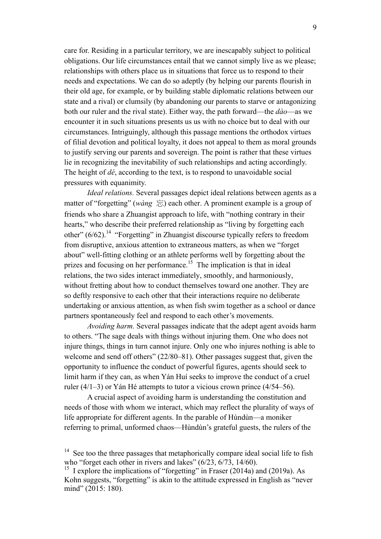care for. Residing in a particular territory, we are inescapably subject to political obligations. Our life circumstances entail that we cannot simply live as we please; relationships with others place us in situations that force us to respond to their needs and expectations. We can do so adeptly (by helping our parents flourish in their old age, for example, or by building stable diplomatic relations between our state and a rival) or clumsily (by abandoning our parents to starve or antagonizing both our ruler and the rival state). Either way, the path forward—the *dào*—as we encounter it in such situations presents us us with no choice but to deal with our circumstances. Intriguingly, although this passage mentions the orthodox virtues of filial devotion and political loyalty, it does not appeal to them as moral grounds to justify serving our parents and sovereign. The point is rather that these virtues lie in recognizing the inevitability of such relationships and acting accordingly. The height of *dé*, according to the text, is to respond to unavoidable social pressures with equanimity.

*Ideal relations.* Several passages depict ideal relations between agents as a matter of "forgetting" (*wàng*  $\frac{1}{\sqrt{n}}$ ) each other. A prominent example is a group of friends who share a Zhuangist approach to life, with "nothing contrary in their hearts," who describe their preferred relationship as "living by forgetting each other"  $(6/62)$ .<sup>14</sup> "Forgetting" in Zhuangist discourse typically refers to freedom from disruptive, anxious attention to extraneous matters, as when we "forget about" well-fitting clothing or an athlete performs well by forgetting about the prizes and focusing on her performance.<sup>15</sup> The implication is that in ideal relations, the two sides interact immediately, smoothly, and harmoniously, without fretting about how to conduct themselves toward one another. They are so deftly responsive to each other that their interactions require no deliberate undertaking or anxious attention, as when fish swim together as a school or dance partners spontaneously feel and respond to each other's movements.

*Avoiding harm.* Several passages indicate that the adept agent avoids harm to others. "The sage deals with things without injuring them. One who does not injure things, things in turn cannot injure. Only one who injures nothing is able to welcome and send off others" (22/80–81). Other passages suggest that, given the opportunity to influence the conduct of powerful figures, agents should seek to limit harm if they can, as when Yán Huí seeks to improve the conduct of a cruel ruler (4/1–3) or Yán Hé attempts to tutor a vicious crown prince (4/54–56).

A crucial aspect of avoiding harm is understanding the constitution and needs of those with whom we interact, which may reflect the plurality of ways of life appropriate for different agents. In the parable of Hùndùn—a moniker referring to primal, unformed chaos—Hùndùn's grateful guests, the rulers of the

<sup>&</sup>lt;sup>14</sup> See too the three passages that metaphorically compare ideal social life to fish who "forget each other in rivers and lakes" (6/23, 6/73, 14/60).

<sup>&</sup>lt;sup>15</sup> I explore the implications of "forgetting" in Fraser  $(2014a)$  and  $(2019a)$ . As Kohn suggests, "forgetting" is akin to the attitude expressed in English as "never mind" (2015: 180).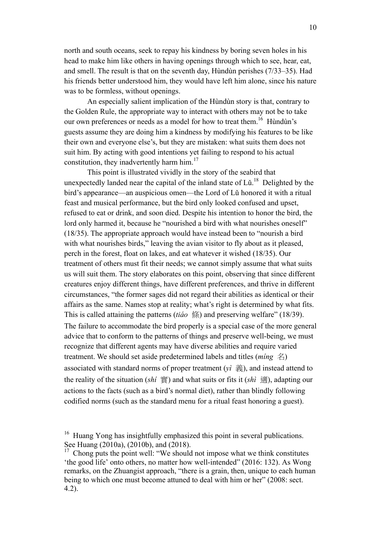north and south oceans, seek to repay his kindness by boring seven holes in his head to make him like others in having openings through which to see, hear, eat, and smell. The result is that on the seventh day, Hùndùn perishes (7/33–35). Had his friends better understood him, they would have left him alone, since his nature was to be formless, without openings.

An especially salient implication of the Hùndùn story is that, contrary to the Golden Rule, the appropriate way to interact with others may not be to take our own preferences or needs as a model for how to treat them.<sup>16</sup> Hùndùn's guests assume they are doing him a kindness by modifying his features to be like their own and everyone else's, but they are mistaken: what suits them does not suit him. By acting with good intentions yet failing to respond to his actual constitution, they inadvertently harm him. $^{17}$ 

This point is illustrated vividly in the story of the seabird that unexpectedly landed near the capital of the inland state of  $Li<sup>18</sup>$  Delighted by the bird's appearance—an auspicious omen—the Lord of Lǔ honored it with a ritual feast and musical performance, but the bird only looked confused and upset, refused to eat or drink, and soon died. Despite his intention to honor the bird, the lord only harmed it, because he "nourished a bird with what nourishes oneself" (18/35). The appropriate approach would have instead been to "nourish a bird with what nourishes birds," leaving the avian visitor to fly about as it pleased, perch in the forest, float on lakes, and eat whatever it wished (18/35). Our treatment of others must fit their needs; we cannot simply assume that what suits us will suit them. The story elaborates on this point, observing that since different creatures enjoy different things, have different preferences, and thrive in different circumstances, "the former sages did not regard their abilities as identical or their affairs as the same. Names stop at reality; what's right is determined by what fits. This is called attaining the patterns (*tiáo* 條) and preserving welfare" (18/39). The failure to accommodate the bird properly is a special case of the more general advice that to conform to the patterns of things and preserve well-being, we must recognize that different agents may have diverse abilities and require varied treatment. We should set aside predetermined labels and titles (*míng* 名) associated with standard norms of proper treatment (*yì* 義), and instead attend to the reality of the situation (*shí* 實) and what suits or fits it (*shì* 適), adapting our actions to the facts (such as a bird's normal diet), rather than blindly following codified norms (such as the standard menu for a ritual feast honoring a guest).

<sup>&</sup>lt;sup>16</sup> Huang Yong has insightfully emphasized this point in several publications. See Huang (2010a), (2010b), and (2018).

 $17$  Chong puts the point well: "We should not impose what we think constitutes 'the good life' onto others, no matter how well-intended" (2016: 132). As Wong remarks, on the Zhuangist approach, "there is a grain, then, unique to each human being to which one must become attuned to deal with him or her" (2008: sect. 4.2).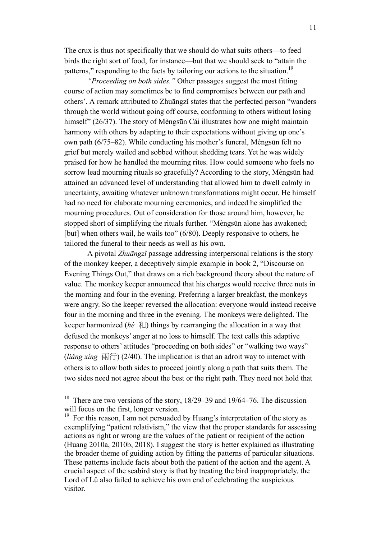The crux is thus not specifically that we should do what suits others—to feed birds the right sort of food, for instance—but that we should seek to "attain the patterns," responding to the facts by tailoring our actions to the situation.<sup>19</sup>

*"Proceeding on both sides."* Other passages suggest the most fitting course of action may sometimes be to find compromises between our path and others'. A remark attributed to Zhuāngzǐ states that the perfected person "wanders through the world without going off course, conforming to others without losing himself" (26/37). The story of Mèngsūn Cái illustrates how one might maintain harmony with others by adapting to their expectations without giving up one's own path (6/75–82). While conducting his mother's funeral, Mèngsūn felt no grief but merely wailed and sobbed without shedding tears. Yet he was widely praised for how he handled the mourning rites. How could someone who feels no sorrow lead mourning rituals so gracefully? According to the story, Mèngsūn had attained an advanced level of understanding that allowed him to dwell calmly in uncertainty, awaiting whatever unknown transformations might occur. He himself had no need for elaborate mourning ceremonies, and indeed he simplified the mourning procedures. Out of consideration for those around him, however, he stopped short of simplifying the rituals further. "Mèngsūn alone has awakened; [but] when others wail, he wails too" (6/80). Deeply responsive to others, he tailored the funeral to their needs as well as his own.

A pivotal *Zhuāngzǐ* passage addressing interpersonal relations is the story of the monkey keeper, a deceptively simple example in book 2, "Discourse on Evening Things Out," that draws on a rich background theory about the nature of value. The monkey keeper announced that his charges would receive three nuts in the morning and four in the evening. Preferring a larger breakfast, the monkeys were angry. So the keeper reversed the allocation: everyone would instead receive four in the morning and three in the evening. The monkeys were delighted. The keeper harmonized (*hé* 和) things by rearranging the allocation in a way that defused the monkeys' anger at no loss to himself. The text calls this adaptive response to others' attitudes "proceeding on both sides" or "walking two ways" (*liang xing*  $\overline{M}(\overline{T})$ ) (2/40). The implication is that an adroit way to interact with others is to allow both sides to proceed jointly along a path that suits them. The two sides need not agree about the best or the right path. They need not hold that

<sup>&</sup>lt;sup>18</sup> There are two versions of the story,  $18/29-39$  and  $19/64-76$ . The discussion will focus on the first, longer version.

 $19$  For this reason, I am not persuaded by Huang's interpretation of the story as exemplifying "patient relativism," the view that the proper standards for assessing actions as right or wrong are the values of the patient or recipient of the action (Huang 2010a, 2010b, 2018). I suggest the story is better explained as illustrating the broader theme of guiding action by fitting the patterns of particular situations. These patterns include facts about both the patient of the action and the agent. A crucial aspect of the seabird story is that by treating the bird inappropriately, the Lord of Lǔ also failed to achieve his own end of celebrating the auspicious visitor.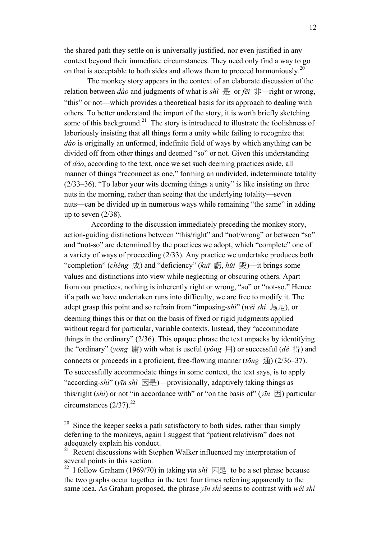the shared path they settle on is universally justified, nor even justified in any context beyond their immediate circumstances. They need only find a way to go on that is acceptable to both sides and allows them to proceed harmoniously.<sup>20</sup>

The monkey story appears in the context of an elaborate discussion of the relation between *dào* and judgments of what is *shì* 是 or *fēi* 非—right or wrong, "this" or not—which provides a theoretical basis for its approach to dealing with others. To better understand the import of the story, it is worth briefly sketching some of this background.<sup>21</sup> The story is introduced to illustrate the foolishness of laboriously insisting that all things form a unity while failing to recognize that *dào* is originally an unformed, indefinite field of ways by which anything can be divided off from other things and deemed "so" or not. Given this understanding of *dào*, according to the text, once we set such deeming practices aside, all manner of things "reconnect as one," forming an undivided, indeterminate totality (2/33–36). "To labor your wits deeming things a unity" is like insisting on three nuts in the morning, rather than seeing that the underlying totality—seven nuts—can be divided up in numerous ways while remaining "the same" in adding up to seven  $(2/38)$ .

According to the discussion immediately preceding the monkey story, action-guiding distinctions between "this/right" and "not/wrong" or between "so" and "not-so" are determined by the practices we adopt, which "complete" one of a variety of ways of proceeding (2/33). Any practice we undertake produces both "completion" (*chéng* 成) and "deficiency" (*kuī* 虧, *hǔi* 毀)—it brings some values and distinctions into view while neglecting or obscuring others. Apart from our practices, nothing is inherently right or wrong, "so" or "not-so." Hence if a path we have undertaken runs into difficulty, we are free to modify it. The adept grasp this point and so refrain from "imposing-*shì*" (*wéi shì* 為是), or deeming things this or that on the basis of fixed or rigid judgments applied without regard for particular, variable contexts. Instead, they "accommodate things in the ordinary" (2/36). This opaque phrase the text unpacks by identifying the "ordinary" (*yōng* 庸) with what is useful (*yòng* 用) or successful (*dé* 得) and connects or proceeds in a proficient, free-flowing manner ( $t\bar{\sigma}$ *ng*  $\bar{\text{H}}$ ) (2/36–37). To successfully accommodate things in some context, the text says, is to apply "according-*shì*" (*yīn shì* 因是)—provisionally, adaptively taking things as this/right (*shì*) or not "in accordance with" or "on the basis of" ( $y\bar{i}n \boxtimes$ ) particular circumstances  $(2/37)^{22}$ 

 $20\sigma$  Since the keeper seeks a path satisfactory to both sides, rather than simply deferring to the monkeys, again I suggest that "patient relativism" does not adequately explain his conduct.

 $21$  Recent discussions with Stephen Walker influenced my interpretation of several points in this section.

I follow Graham (1969/70) in taking *yīn shì*  $\boxtimes \cong$  to be a set phrase because the two graphs occur together in the text four times referring apparently to the same idea. As Graham proposed, the phrase *yīn shì* seems to contrast with *wéi shì*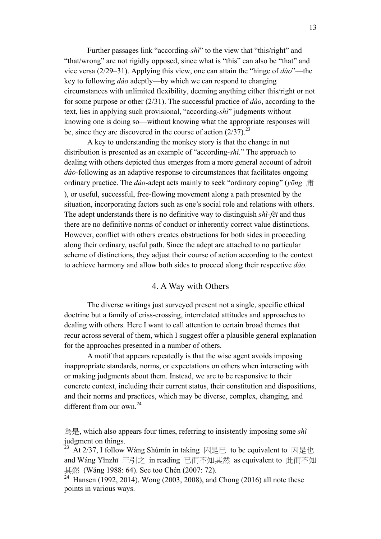Further passages link "according-*shì*" to the view that "this/right" and "that/wrong" are not rigidly opposed, since what is "this" can also be "that" and vice versa (2/29–31). Applying this view, one can attain the "hinge of *dào*"—the key to following *dào* adeptly—by which we can respond to changing circumstances with unlimited flexibility, deeming anything either this/right or not for some purpose or other (2/31). The successful practice of *dào*, according to the text, lies in applying such provisional, "according-*shì*" judgments without knowing one is doing so—without knowing what the appropriate responses will be, since they are discovered in the course of action  $(2/37)$ .<sup>23</sup>

A key to understanding the monkey story is that the change in nut distribution is presented as an example of "according-*shì.*" The approach to dealing with others depicted thus emerges from a more general account of adroit *dào-*following as an adaptive response to circumstances that facilitates ongoing ordinary practice. The *dào-*adept acts mainly to seek "ordinary coping" (*yōng* 庸 ), or useful, successful, free-flowing movement along a path presented by the situation, incorporating factors such as one's social role and relations with others. The adept understands there is no definitive way to distinguish *shì-fēi* and thus there are no definitive norms of conduct or inherently correct value distinctions. However, conflict with others creates obstructions for both sides in proceeding along their ordinary, useful path. Since the adept are attached to no particular scheme of distinctions, they adjust their course of action according to the context to achieve harmony and allow both sides to proceed along their respective *dào.*

## 4. A Way with Others

The diverse writings just surveyed present not a single, specific ethical doctrine but a family of criss-crossing, interrelated attitudes and approaches to dealing with others. Here I want to call attention to certain broad themes that recur across several of them, which I suggest offer a plausible general explanation for the approaches presented in a number of others.

A motif that appears repeatedly is that the wise agent avoids imposing inappropriate standards, norms, or expectations on others when interacting with or making judgments about them. Instead, we are to be responsive to their concrete context, including their current status, their constitution and dispositions, and their norms and practices, which may be diverse, complex, changing, and different from our own.<sup>24</sup>

為是, which also appears four times, referring to insistently imposing some *shì*  judgment on things.

23 At 2/37, I follow Wang Shumin in taking 因是已 to be equivalent to 因是也 and Wáng Yǐnzhī 王引之 in reading 已而不知其然 as equivalent to 此而不知 其然 (Wáng 1988: 64). See too Chén (2007: 72).

<sup>24</sup> Hansen (1992, 2014), Wong (2003, 2008), and Chong (2016) all note these points in various ways.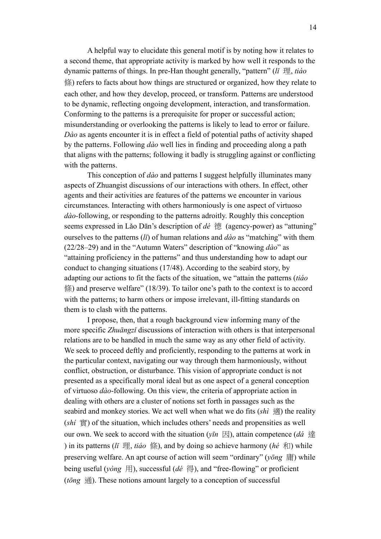A helpful way to elucidate this general motif is by noting how it relates to a second theme, that appropriate activity is marked by how well it responds to the dynamic patterns of things. In pre-Han thought generally, "pattern" (*lǐ* 理, *tiáo* 條) refers to facts about how things are structured or organized, how they relate to each other, and how they develop, proceed, or transform. Patterns are understood to be dynamic, reflecting ongoing development, interaction, and transformation. Conforming to the patterns is a prerequisite for proper or successful action; misunderstanding or overlooking the patterns is likely to lead to error or failure. *Dào* as agents encounter it is in effect a field of potential paths of activity shaped by the patterns. Following *dào* well lies in finding and proceeding along a path that aligns with the patterns; following it badly is struggling against or conflicting with the patterns.

This conception of *dào* and patterns I suggest helpfully illuminates many aspects of Zhuangist discussions of our interactions with others. In effect, other agents and their activities are features of the patterns we encounter in various circumstances. Interacting with others harmoniously is one aspect of virtuoso *dào-*following, or responding to the patterns adroitly. Roughly this conception seems expressed in Lǎo Dān's description of *dé* 德 (agency-power) as "attuning" ourselves to the patterns (*lǐ*) of human relations and *dào* as "matching" with them (22/28–29) and in the "Autumn Waters" description of "knowing *dào*" as "attaining proficiency in the patterns" and thus understanding how to adapt our conduct to changing situations (17/48). According to the seabird story, by adapting our actions to fit the facts of the situation, we "attain the patterns (*tiáo*  條) and preserve welfare" (18/39). To tailor one's path to the context is to accord with the patterns; to harm others or impose irrelevant, ill-fitting standards on them is to clash with the patterns.

I propose, then, that a rough background view informing many of the more specific *Zhuāngzǐ* discussions of interaction with others is that interpersonal relations are to be handled in much the same way as any other field of activity. We seek to proceed deftly and proficiently, responding to the patterns at work in the particular context, navigating our way through them harmoniously, without conflict, obstruction, or disturbance. This vision of appropriate conduct is not presented as a specifically moral ideal but as one aspect of a general conception of virtuoso *dào*-following. On this view, the criteria of appropriate action in dealing with others are a cluster of notions set forth in passages such as the seabird and monkey stories. We act well when what we do fits (*shì* 適) the reality (*shí* 實) of the situation, which includes others' needs and propensities as well our own. We seek to accord with the situation ( $\nu$ *īn* 因), attain competence (*dá* 達 ) in its patterns (*li*  $\mathbb{H}$ , *tiáo* (係), and by doing so achieve harmony (*hé* 和) while preserving welfare. An apt course of action will seem "ordinary" (*yōng* 庸) while being useful (*yòng* 用), successful (*dé* 得), and "free-flowing" or proficient  $(t\bar{o}ng \, \hat{\mathbb{H}})$ . These notions amount largely to a conception of successful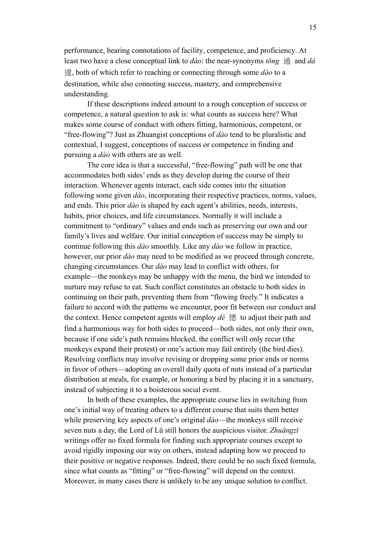performance, bearing connotations of facility, competence, and proficiency. At least two have a close conceptual link to *dào*: the near-synonyms *tōng* 通 and *dá*  達, both of which refer to reaching or connecting through some *dào* to a destination, while also connoting success, mastery, and comprehensive understanding.

If these descriptions indeed amount to a rough conception of success or competence, a natural question to ask is: what counts as success here? What makes some course of conduct with others fitting, harmonious, competent, or "free-flowing"? Just as Zhuangist conceptions of *dào* tend to be pluralistic and contextual, I suggest, conceptions of success or competence in finding and pursuing a *dào* with others are as well.

The core idea is that a successful, "free-flowing" path will be one that accommodates both sides' ends as they develop during the course of their interaction. Whenever agents interact, each side comes into the situation following some given *dào*, incorporating their respective practices, norms, values, and ends. This prior *dào* is shaped by each agent's abilities, needs, interests, habits, prior choices, and life circumstances. Normally it will include a commitment to "ordinary" values and ends such as preserving our own and our family's lives and welfare. Our initial conception of success may be simply to continue following this *dào* smoothly. Like any *dào* we follow in practice, however, our prior *dào* may need to be modified as we proceed through concrete, changing circumstances. Our *dào* may lead to conflict with others, for example—the monkeys may be unhappy with the menu, the bird we intended to nurture may refuse to eat. Such conflict constitutes an obstacle to both sides in continuing on their path, preventing them from "flowing freely." It indicates a failure to accord with the patterns we encounter, poor fit between our conduct and the context. Hence competent agents will employ *dé* 德 to adjust their path and find a harmonious way for both sides to proceed—both sides, not only their own, because if one side's path remains blocked, the conflict will only recur (the monkeys expand their protest) or one's action may fail entirely (the bird dies). Resolving conflicts may involve revising or dropping some prior ends or norms in favor of others—adopting an overall daily quota of nuts instead of a particular distribution at meals, for example, or honoring a bird by placing it in a sanctuary, instead of subjecting it to a boisterous social event.

In both of these examples, the appropriate course lies in switching from one's initial way of treating others to a different course that suits them better while preserving key aspects of one's original *dào*—the monkeys still receive seven nuts a day, the Lord of Lǔ still honors the auspicious visitor. *Zhuāngzǐ* writings offer no fixed formula for finding such appropriate courses except to avoid rigidly imposing our way on others, instead adapting how we proceed to their positive or negative responses. Indeed, there could be no such fixed formula, since what counts as "fitting" or "free-flowing" will depend on the context. Moreover, in many cases there is unlikely to be any unique solution to conflict.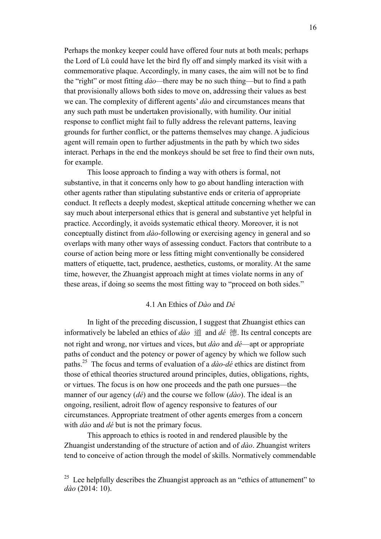Perhaps the monkey keeper could have offered four nuts at both meals; perhaps the Lord of Lǔ could have let the bird fly off and simply marked its visit with a commemorative plaque. Accordingly, in many cases, the aim will not be to find the "right" or most fitting *dào—*there may be no such thing—but to find a path that provisionally allows both sides to move on, addressing their values as best we can. The complexity of different agents' *dào* and circumstances means that any such path must be undertaken provisionally, with humility. Our initial response to conflict might fail to fully address the relevant patterns, leaving grounds for further conflict, or the patterns themselves may change. A judicious agent will remain open to further adjustments in the path by which two sides interact. Perhaps in the end the monkeys should be set free to find their own nuts, for example.

This loose approach to finding a way with others is formal, not substantive, in that it concerns only how to go about handling interaction with other agents rather than stipulating substantive ends or criteria of appropriate conduct. It reflects a deeply modest, skeptical attitude concerning whether we can say much about interpersonal ethics that is general and substantive yet helpful in practice. Accordingly, it avoids systematic ethical theory. Moreover, it is not conceptually distinct from *dào*-following or exercising agency in general and so overlaps with many other ways of assessing conduct. Factors that contribute to a course of action being more or less fitting might conventionally be considered matters of etiquette, tact, prudence, aesthetics, customs, or morality. At the same time, however, the Zhuangist approach might at times violate norms in any of these areas, if doing so seems the most fitting way to "proceed on both sides."

## 4.1 An Ethics of *Dào* and *Dé*

In light of the preceding discussion, I suggest that Zhuangist ethics can informatively be labeled an ethics of *dào* 道 and *dé* 德. Its central concepts are not right and wrong, nor virtues and vices, but *dào* and *dé*—apt or appropriate paths of conduct and the potency or power of agency by which we follow such paths.<sup>25</sup> The focus and terms of evaluation of a *dào-dé* ethics are distinct from those of ethical theories structured around principles, duties, obligations, rights, or virtues. The focus is on how one proceeds and the path one pursues—the manner of our agency (*dé*) and the course we follow (*dào*). The ideal is an ongoing, resilient, adroit flow of agency responsive to features of our circumstances. Appropriate treatment of other agents emerges from a concern with *dào* and *dé* but is not the primary focus.

This approach to ethics is rooted in and rendered plausible by the Zhuangist understanding of the structure of action and of *dào*. Zhuangist writers tend to conceive of action through the model of skills. Normatively commendable

<sup>&</sup>lt;sup>25</sup> Lee helpfully describes the Zhuangist approach as an "ethics of attunement" to *dào* (2014: 10).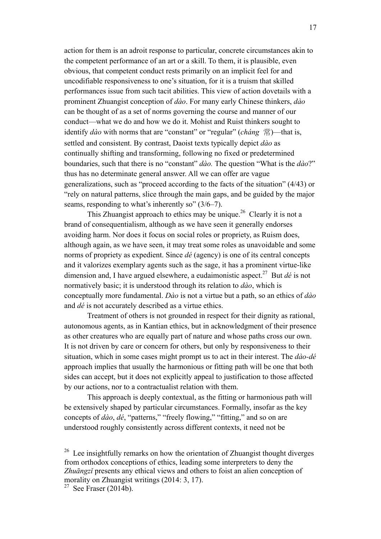action for them is an adroit response to particular, concrete circumstances akin to the competent performance of an art or a skill. To them, it is plausible, even obvious, that competent conduct rests primarily on an implicit feel for and uncodifiable responsiveness to one's situation, for it is a truism that skilled performances issue from such tacit abilities. This view of action dovetails with a prominent Zhuangist conception of *dào*. For many early Chinese thinkers, *dào* can be thought of as a set of norms governing the course and manner of our conduct—what we do and how we do it. Mohist and Ruist thinkers sought to identify *dào* with norms that are "constant" or "regular" (*cháng* 常)—that is, settled and consistent. By contrast, Daoist texts typically depict *dào* as continually shifting and transforming, following no fixed or predetermined boundaries, such that there is no "constant" *dào.* The question "What is the *dào*?" thus has no determinate general answer. All we can offer are vague generalizations, such as "proceed according to the facts of the situation" (4/43) or "rely on natural patterns, slice through the main gaps, and be guided by the major seams, responding to what's inherently so" (3/6–7).

This Zhuangist approach to ethics may be unique.<sup>26</sup> Clearly it is not a brand of consequentialism, although as we have seen it generally endorses avoiding harm. Nor does it focus on social roles or propriety, as Ruism does, although again, as we have seen, it may treat some roles as unavoidable and some norms of propriety as expedient. Since *dé* (agency) is one of its central concepts and it valorizes exemplary agents such as the sage, it has a prominent virtue-like dimension and, I have argued elsewhere, a eudaimonistic aspect.27 But *dé* is not normatively basic; it is understood through its relation to *dào*, which is conceptually more fundamental. *Dào* is not a virtue but a path, so an ethics of *dào* and *dé* is not accurately described as a virtue ethics.

Treatment of others is not grounded in respect for their dignity as rational, autonomous agents, as in Kantian ethics, but in acknowledgment of their presence as other creatures who are equally part of nature and whose paths cross our own. It is not driven by care or concern for others, but only by responsiveness to their situation, which in some cases might prompt us to act in their interest. The *dào-dé*  approach implies that usually the harmonious or fitting path will be one that both sides can accept, but it does not explicitly appeal to justification to those affected by our actions, nor to a contractualist relation with them.

This approach is deeply contextual, as the fitting or harmonious path will be extensively shaped by particular circumstances. Formally, insofar as the key concepts of *dào*, *dé*, "patterns," "freely flowing," "fitting," and so on are understood roughly consistently across different contexts, it need not be

 $26$  Lee insightfully remarks on how the orientation of Zhuangist thought diverges from orthodox conceptions of ethics, leading some interpreters to deny the *Zhuāngzǐ* presents any ethical views and others to foist an alien conception of morality on Zhuangist writings (2014: 3, 17).

<sup>&</sup>lt;sup>27</sup> See Fraser (2014b).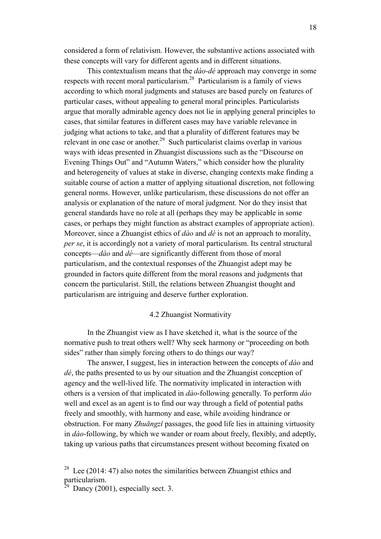considered a form of relativism. However, the substantive actions associated with these concepts will vary for different agents and in different situations.

This contextualism means that the *dào-dé* approach may converge in some respects with recent moral particularism.<sup>28</sup> Particularism is a family of views according to which moral judgments and statuses are based purely on features of particular cases, without appealing to general moral principles. Particularists argue that morally admirable agency does not lie in applying general principles to cases, that similar features in different cases may have variable relevance in judging what actions to take, and that a plurality of different features may be relevant in one case or another.<sup>29</sup> Such particularist claims overlap in various ways with ideas presented in Zhuangist discussions such as the "Discourse on Evening Things Out" and "Autumn Waters," which consider how the plurality and heterogeneity of values at stake in diverse, changing contexts make finding a suitable course of action a matter of applying situational discretion, not following general norms. However, unlike particularism, these discussions do not offer an analysis or explanation of the nature of moral judgment. Nor do they insist that general standards have no role at all (perhaps they may be applicable in some cases, or perhaps they might function as abstract examples of appropriate action). Moreover, since a Zhuangist ethics of *dào* and *dé* is not an approach to morality, *per se*, it is accordingly not a variety of moral particularism. Its central structural concepts—*dào* and *dé*—are significantly different from those of moral particularism, and the contextual responses of the Zhuangist adept may be grounded in factors quite different from the moral reasons and judgments that concern the particularist. Still, the relations between Zhuangist thought and particularism are intriguing and deserve further exploration.

#### 4.2 Zhuangist Normativity

In the Zhuangist view as I have sketched it, what is the source of the normative push to treat others well? Why seek harmony or "proceeding on both sides" rather than simply forcing others to do things our way?

The answer, I suggest, lies in interaction between the concepts of *dào* and *dé*, the paths presented to us by our situation and the Zhuangist conception of agency and the well-lived life. The normativity implicated in interaction with others is a version of that implicated in *dào*-following generally. To perform *dào*  well and excel as an agent is to find our way through a field of potential paths freely and smoothly, with harmony and ease, while avoiding hindrance or obstruction. For many *Zhuāngzǐ* passages, the good life lies in attaining virtuosity in *dào*-following, by which we wander or roam about freely, flexibly, and adeptly, taking up various paths that circumstances present without becoming fixated on

<sup>&</sup>lt;sup>28</sup> Lee (2014: 47) also notes the similarities between Zhuangist ethics and particularism.

 $29$  Dancy (2001), especially sect. 3.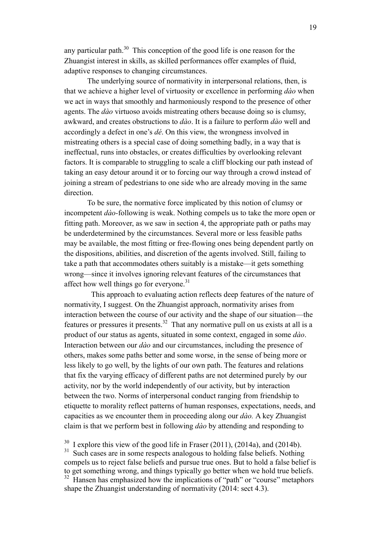any particular path. $30$  This conception of the good life is one reason for the Zhuangist interest in skills, as skilled performances offer examples of fluid, adaptive responses to changing circumstances.

The underlying source of normativity in interpersonal relations, then, is that we achieve a higher level of virtuosity or excellence in performing *dào* when we act in ways that smoothly and harmoniously respond to the presence of other agents. The *dào* virtuoso avoids mistreating others because doing so is clumsy, awkward, and creates obstructions to *dào*. It is a failure to perform *dào* well and accordingly a defect in one's *dé*. On this view, the wrongness involved in mistreating others is a special case of doing something badly, in a way that is ineffectual, runs into obstacles, or creates difficulties by overlooking relevant factors. It is comparable to struggling to scale a cliff blocking our path instead of taking an easy detour around it or to forcing our way through a crowd instead of joining a stream of pedestrians to one side who are already moving in the same direction.

To be sure, the normative force implicated by this notion of clumsy or incompetent *dào-*following is weak. Nothing compels us to take the more open or fitting path. Moreover, as we saw in section 4, the appropriate path or paths may be underdetermined by the circumstances. Several more or less feasible paths may be available, the most fitting or free-flowing ones being dependent partly on the dispositions, abilities, and discretion of the agents involved. Still, failing to take a path that accommodates others suitably is a mistake—it gets something wrong—since it involves ignoring relevant features of the circumstances that affect how well things go for everyone.<sup>31</sup>

This approach to evaluating action reflects deep features of the nature of normativity, I suggest. On the Zhuangist approach, normativity arises from interaction between the course of our activity and the shape of our situation—the features or pressures it presents.<sup>32</sup> That any normative pull on us exists at all is a product of our status as agents, situated in some context, engaged in some *dào*. Interaction between our *dào* and our circumstances, including the presence of others, makes some paths better and some worse, in the sense of being more or less likely to go well, by the lights of our own path. The features and relations that fix the varying efficacy of different paths are not determined purely by our activity, nor by the world independently of our activity, but by interaction between the two. Norms of interpersonal conduct ranging from friendship to etiquette to morality reflect patterns of human responses, expectations, needs, and capacities as we encounter them in proceeding along our *dào.* A key Zhuangist claim is that we perform best in following *dào* by attending and responding to

 $30\,$  I explore this view of the good life in Fraser (2011), (2014a), and (2014b).

<sup>&</sup>lt;sup>31</sup> Such cases are in some respects analogous to holding false beliefs. Nothing compels us to reject false beliefs and pursue true ones. But to hold a false belief is to get something wrong, and things typically go better when we hold true beliefs. Hansen has emphasized how the implications of "path" or "course" metaphors shape the Zhuangist understanding of normativity (2014: sect 4.3).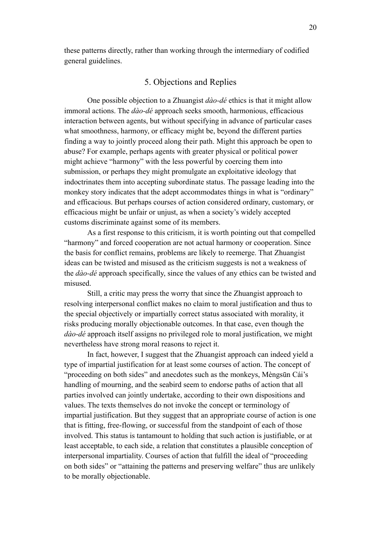these patterns directly, rather than working through the intermediary of codified general guidelines.

# 5. Objections and Replies

One possible objection to a Zhuangist *dào-dé* ethics is that it might allow immoral actions. The *dào-dé* approach seeks smooth, harmonious, efficacious interaction between agents, but without specifying in advance of particular cases what smoothness, harmony, or efficacy might be, beyond the different parties finding a way to jointly proceed along their path. Might this approach be open to abuse? For example, perhaps agents with greater physical or political power might achieve "harmony" with the less powerful by coercing them into submission, or perhaps they might promulgate an exploitative ideology that indoctrinates them into accepting subordinate status. The passage leading into the monkey story indicates that the adept accommodates things in what is "ordinary" and efficacious. But perhaps courses of action considered ordinary, customary, or efficacious might be unfair or unjust, as when a society's widely accepted customs discriminate against some of its members.

As a first response to this criticism, it is worth pointing out that compelled "harmony" and forced cooperation are not actual harmony or cooperation. Since the basis for conflict remains, problems are likely to reemerge. That Zhuangist ideas can be twisted and misused as the criticism suggests is not a weakness of the *dào-dé* approach specifically, since the values of any ethics can be twisted and misused.

Still, a critic may press the worry that since the Zhuangist approach to resolving interpersonal conflict makes no claim to moral justification and thus to the special objectively or impartially correct status associated with morality, it risks producing morally objectionable outcomes. In that case, even though the *dào-dé* approach itself assigns no privileged role to moral justification, we might nevertheless have strong moral reasons to reject it.

In fact, however, I suggest that the Zhuangist approach can indeed yield a type of impartial justification for at least some courses of action. The concept of "proceeding on both sides" and anecdotes such as the monkeys, Mèngsūn Cái's handling of mourning, and the seabird seem to endorse paths of action that all parties involved can jointly undertake, according to their own dispositions and values. The texts themselves do not invoke the concept or terminology of impartial justification. But they suggest that an appropriate course of action is one that is fitting, free-flowing, or successful from the standpoint of each of those involved. This status is tantamount to holding that such action is justifiable, or at least acceptable, to each side, a relation that constitutes a plausible conception of interpersonal impartiality. Courses of action that fulfill the ideal of "proceeding on both sides" or "attaining the patterns and preserving welfare" thus are unlikely to be morally objectionable.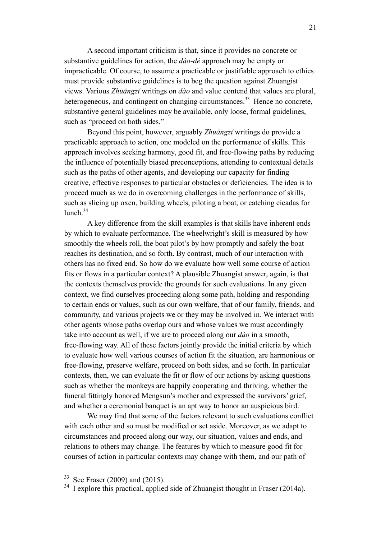A second important criticism is that, since it provides no concrete or substantive guidelines for action, the *dào-dé* approach may be empty or impracticable. Of course, to assume a practicable or justifiable approach to ethics must provide substantive guidelines is to beg the question against Zhuangist views. Various *Zhuāngzǐ* writings on *dào* and value contend that values are plural, heterogeneous, and contingent on changing circumstances.<sup>33</sup> Hence no concrete, substantive general guidelines may be available, only loose, formal guidelines, such as "proceed on both sides."

Beyond this point, however, arguably *Zhuāngzǐ* writings do provide a practicable approach to action, one modeled on the performance of skills. This approach involves seeking harmony, good fit, and free-flowing paths by reducing the influence of potentially biased preconceptions, attending to contextual details such as the paths of other agents, and developing our capacity for finding creative, effective responses to particular obstacles or deficiencies. The idea is to proceed much as we do in overcoming challenges in the performance of skills, such as slicing up oxen, building wheels, piloting a boat, or catching cicadas for  $lunch.<sup>34</sup>$ 

A key difference from the skill examples is that skills have inherent ends by which to evaluate performance. The wheelwright's skill is measured by how smoothly the wheels roll, the boat pilot's by how promptly and safely the boat reaches its destination, and so forth. By contrast, much of our interaction with others has no fixed end. So how do we evaluate how well some course of action fits or flows in a particular context? A plausible Zhuangist answer, again, is that the contexts themselves provide the grounds for such evaluations. In any given context, we find ourselves proceeding along some path, holding and responding to certain ends or values, such as our own welfare, that of our family, friends, and community, and various projects we or they may be involved in. We interact with other agents whose paths overlap ours and whose values we must accordingly take into account as well, if we are to proceed along our *dào* in a smooth, free-flowing way. All of these factors jointly provide the initial criteria by which to evaluate how well various courses of action fit the situation, are harmonious or free-flowing, preserve welfare, proceed on both sides, and so forth. In particular contexts, then, we can evaluate the fit or flow of our actions by asking questions such as whether the monkeys are happily cooperating and thriving, whether the funeral fittingly honored Mengsun's mother and expressed the survivors' grief, and whether a ceremonial banquet is an apt way to honor an auspicious bird.

We may find that some of the factors relevant to such evaluations conflict with each other and so must be modified or set aside. Moreover, as we adapt to circumstances and proceed along our way, our situation, values and ends, and relations to others may change. The features by which to measure good fit for courses of action in particular contexts may change with them, and our path of

 $33$  See Fraser (2009) and (2015).

 $34$  I explore this practical, applied side of Zhuangist thought in Fraser (2014a).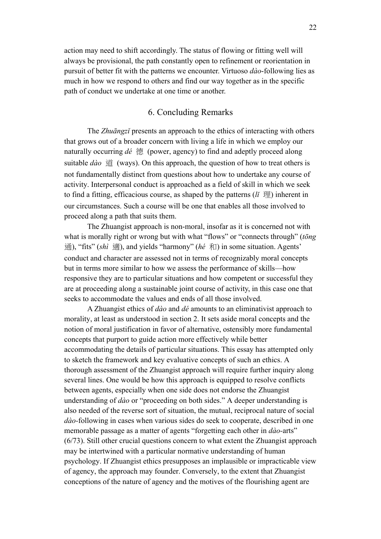action may need to shift accordingly. The status of flowing or fitting well will always be provisional, the path constantly open to refinement or reorientation in pursuit of better fit with the patterns we encounter. Virtuoso *dào*-following lies as much in how we respond to others and find our way together as in the specific path of conduct we undertake at one time or another.

# 6. Concluding Remarks

The *Zhuāngzǐ* presents an approach to the ethics of interacting with others that grows out of a broader concern with living a life in which we employ our naturally occurring *dé* 德 (power, agency) to find and adeptly proceed along suitable *dào* 道 (ways). On this approach, the question of how to treat others is not fundamentally distinct from questions about how to undertake any course of activity. Interpersonal conduct is approached as a field of skill in which we seek to find a fitting, efficacious course, as shaped by the patterns  $(l<sup>i</sup> \n\mathbb{H})$  inherent in our circumstances. Such a course will be one that enables all those involved to proceed along a path that suits them.

The Zhuangist approach is non-moral, insofar as it is concerned not with what is morally right or wrong but with what "flows" or "connects through" (*tōng* 通), "fits" (*shì* 適), and yields "harmony" (*hé* 和) in some situation. Agents' conduct and character are assessed not in terms of recognizably moral concepts but in terms more similar to how we assess the performance of skills—how responsive they are to particular situations and how competent or successful they are at proceeding along a sustainable joint course of activity, in this case one that seeks to accommodate the values and ends of all those involved.

A Zhuangist ethics of *dào* and *dé* amounts to an eliminativist approach to morality, at least as understood in section 2. It sets aside moral concepts and the notion of moral justification in favor of alternative, ostensibly more fundamental concepts that purport to guide action more effectively while better accommodating the details of particular situations. This essay has attempted only to sketch the framework and key evaluative concepts of such an ethics. A thorough assessment of the Zhuangist approach will require further inquiry along several lines. One would be how this approach is equipped to resolve conflicts between agents, especially when one side does not endorse the Zhuangist understanding of *dào* or "proceeding on both sides." A deeper understanding is also needed of the reverse sort of situation, the mutual, reciprocal nature of social *dào-*following in cases when various sides do seek to cooperate, described in one memorable passage as a matter of agents "forgetting each other in *dào-*arts" (6/73). Still other crucial questions concern to what extent the Zhuangist approach may be intertwined with a particular normative understanding of human psychology. If Zhuangist ethics presupposes an implausible or impracticable view of agency, the approach may founder. Conversely, to the extent that Zhuangist conceptions of the nature of agency and the motives of the flourishing agent are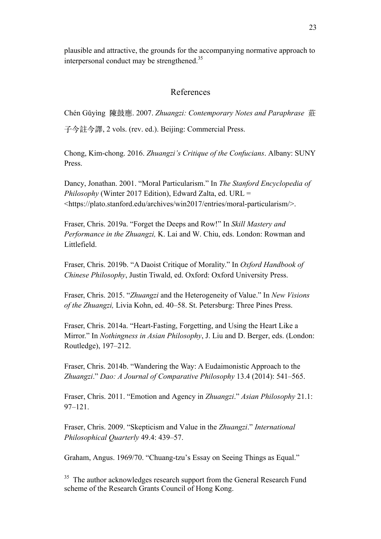plausible and attractive, the grounds for the accompanying normative approach to interpersonal conduct may be strengthened.<sup>35</sup>

## References

Chén Gǔyìng 陳⿎應. 2007. *Zhuangzi: Contemporary Notes and Paraphrase* 莊

⼦今註今譯, 2 vols. (rev. ed.). Beijing: Commercial Press.

Chong, Kim-chong. 2016. *Zhuangzi's Critique of the Confucians*. Albany: SUNY Press.

Dancy, Jonathan. 2001. "Moral Particularism." In *The Stanford Encyclopedia of Philosophy* (Winter 2017 Edition), Edward Zalta, ed. URL = <https://plato.stanford.edu/archives/win2017/entries/moral-particularism/>.

Fraser, Chris. 2019a. "Forget the Deeps and Row!" In *Skill Mastery and Performance in the Zhuangzi,* K. Lai and W. Chiu, eds. London: Rowman and Littlefield.

Fraser, Chris. 2019b. "A Daoist Critique of Morality." In *Oxford Handbook of Chinese Philosophy*, Justin Tiwald, ed. Oxford: Oxford University Press.

Fraser, Chris. 2015. "*Zhuangzi* and the Heterogeneity of Value." In *New Visions of the Zhuangzi,* Livia Kohn, ed. 40–58. St. Petersburg: Three Pines Press.

Fraser, Chris. 2014a. "Heart-Fasting, Forgetting, and Using the Heart Like a Mirror." In *Nothingness in Asian Philosophy*, J. Liu and D. Berger, eds. (London: Routledge), 197–212.

Fraser, Chris. 2014b. "Wandering the Way: A Eudaimonistic Approach to the *Zhuangzi*." *Dao: A Journal of Comparative Philosophy* 13.4 (2014): 541–565.

Fraser, Chris. 2011. "Emotion and Agency in *Zhuangzi*." *Asian Philosophy* 21.1: 97–121.

Fraser, Chris. 2009. "Skepticism and Value in the *Zhuangzi*." *International Philosophical Quarterly* 49.4: 439–57.

Graham, Angus. 1969/70. "Chuang-tzu's Essay on Seeing Things as Equal."

 $35$  The author acknowledges research support from the General Research Fund scheme of the Research Grants Council of Hong Kong.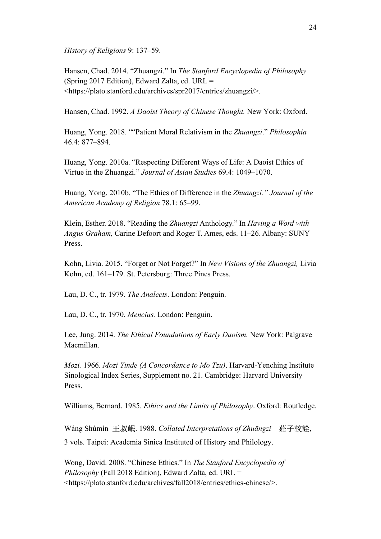*History of Religions* 9: 137–59.

Hansen, Chad. 2014. "Zhuangzi." In *The Stanford Encyclopedia of Philosophy*  (Spring 2017 Edition), Edward Zalta, ed. URL  $=$ <https://plato.stanford.edu/archives/spr2017/entries/zhuangzi/>.

Hansen, Chad. 1992. *A Daoist Theory of Chinese Thought.* New York: Oxford.

Huang, Yong. 2018. ""Patient Moral Relativism in the *Zhuangzi*." *Philosophia* 46.4: 877–894.

Huang, Yong. 2010a. "Respecting Different Ways of Life: A Daoist Ethics of Virtue in the Zhuangzi." *Journal of Asian Studies* 69.4: 1049–1070.

Huang, Yong. 2010b. "The Ethics of Difference in the *Zhuangzi." Journal of the American Academy of Religion* 78.1: 65–99.

Klein, Esther. 2018. "Reading the *Zhuangzi* Anthology." In *Having a Word with Angus Graham,* Carine Defoort and Roger T. Ames, eds. 11–26. Albany: SUNY Press.

Kohn, Livia. 2015. "Forget or Not Forget?" In *New Visions of the Zhuangzi,* Livia Kohn, ed. 161–179. St. Petersburg: Three Pines Press.

Lau, D. C., tr. 1979. *The Analects*. London: Penguin.

Lau, D. C., tr. 1970. *Mencius.* London: Penguin.

Lee, Jung. 2014. *The Ethical Foundations of Early Daoism.* New York: Palgrave Macmillan.

*Mozi.* 1966. *Mozi Yinde (A Concordance to Mo Tzu)*. Harvard-Yenching Institute Sinological Index Series, Supplement no. 21. Cambridge: Harvard University Press.

Williams, Bernard. 1985. *Ethics and the Limits of Philosophy*. Oxford: Routledge.

Wáng Shúmín 王叔岷. 1988. *Collated Interpretations of Zhuāngzǐ* 莊⼦校詮, 3 vols. Taipei: Academia Sinica Instituted of History and Philology.

Wong, David. 2008. "Chinese Ethics." In *The Stanford Encyclopedia of Philosophy* (Fall 2018 Edition), Edward Zalta, ed. URL = <https://plato.stanford.edu/archives/fall2018/entries/ethics-chinese/>.